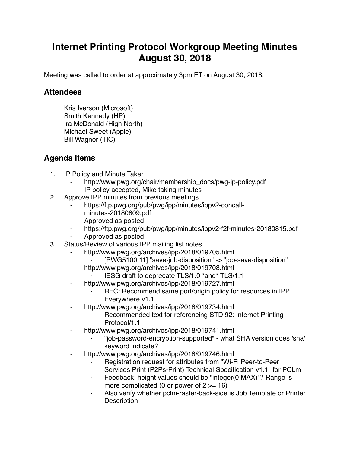## **Internet Printing Protocol Workgroup Meeting Minutes August 30, 2018**

Meeting was called to order at approximately 3pm ET on August 30, 2018.

## **Attendees**

Kris Iverson (Microsoft) Smith Kennedy (HP) Ira McDonald (High North) Michael Sweet (Apple) Bill Wagner (TIC)

## **Agenda Items**

- 1. IP Policy and Minute Taker
	- http://www.pwg.org/chair/membership\_docs/pwg-ip-policy.pdf
	- IP policy accepted, Mike taking minutes
- 2. Approve IPP minutes from previous meetings
	- https://ftp.pwg.org/pub/pwg/ipp/minutes/ippv2-concallminutes-20180809.pdf
	- ⁃ Approved as posted
	- https://ftp.pwg.org/pub/pwg/ipp/minutes/ippv2-f2f-minutes-20180815.pdf
	- ⁃ Approved as posted
- 3. Status/Review of various IPP mailing list notes
	- ⁃ http://www.pwg.org/archives/ipp/2018/019705.html
		- [PWG5100.11] "save-job-disposition" -> "job-save-disposition"
	- ⁃ http://www.pwg.org/archives/ipp/2018/019708.html
		- ⁃ IESG draft to deprecate TLS/1.0 \*and\* TLS/1.1
	- ⁃ http://www.pwg.org/archives/ipp/2018/019727.html
		- RFC: Recommend same port/origin policy for resources in IPP Everywhere v1.1
	- http://www.pwg.org/archives/ipp/2018/019734.html
		- Recommended text for referencing STD 92: Internet Printing Protocol/1.1
	- ⁃ http://www.pwg.org/archives/ipp/2018/019741.html
		- ⁃ "job-password-encryption-supported" what SHA version does 'sha' keyword indicate?
	- ⁃ http://www.pwg.org/archives/ipp/2018/019746.html
		- Registration request for attributes from "Wi-Fi Peer-to-Peer Services Print (P2Ps-Print) Technical Specification v1.1" for PCLm
		- ⁃ Feedback: height values should be "integer(0:MAX)"? Range is more complicated (0 or power of  $2 \ge -16$ )
		- ⁃ Also verify whether pclm-raster-back-side is Job Template or Printer **Description**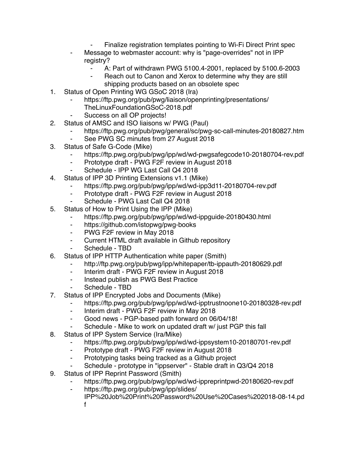- Finalize registration templates pointing to Wi-Fi Direct Print spec
- Message to webmaster account: why is "page-overrides" not in IPP registry?
	- ⁃ A: Part of withdrawn PWG 5100.4-2001, replaced by 5100.6-2003
	- Reach out to Canon and Xerox to determine why they are still shipping products based on an obsolete spec
- 1. Status of Open Printing WG GSoC 2018 (Ira)
	- https://ftp.pwg.org/pub/pwg/liaison/openprinting/presentations/ TheLinuxFoundationGSoC-2018.pdf
	- Success on all OP projects!
- 2. Status of AMSC and ISO liaisons w/ PWG (Paul)
	- https://ftp.pwg.org/pub/pwg/general/sc/pwg-sc-call-minutes-20180827.htm
	- See PWG SC minutes from 27 August 2018
- 3. Status of Safe G-Code (Mike)
	- ⁃ https://ftp.pwg.org/pub/pwg/ipp/wd/wd-pwgsafegcode10-20180704-rev.pdf
	- ⁃ Prototype draft PWG F2F review in August 2018
	- ⁃ Schedule IPP WG Last Call Q4 2018
- 4. Status of IPP 3D Printing Extensions v1.1 (Mike)
	- https://ftp.pwg.org/pub/pwg/ipp/wd/wd-ipp3d11-20180704-rev.pdf
	- ⁃ Prototype draft PWG F2F review in August 2018
	- ⁃ Schedule PWG Last Call Q4 2018
- 5. Status of How to Print Using the IPP (Mike)
	- ⁃ https://ftp.pwg.org/pub/pwg/ipp/wd/wd-ippguide-20180430.html
	- ⁃ https://github.com/istopwg/pwg-books
	- ⁃ PWG F2F review in May 2018
	- ⁃ Current HTML draft available in Github repository
	- ⁃ Schedule TBD
- 6. Status of IPP HTTP Authentication white paper (Smith)
	- ⁃ http://ftp.pwg.org/pub/pwg/ipp/whitepaper/tb-ippauth-20180629.pdf
	- ⁃ Interim draft PWG F2F review in August 2018
	- ⁃ Instead publish as PWG Best Practice
	- Schedule TBD
- 7. Status of IPP Encrypted Jobs and Documents (Mike)
	- ⁃ https://ftp.pwg.org/pub/pwg/ipp/wd/wd-ipptrustnoone10-20180328-rev.pdf
	- ⁃ Interim draft PWG F2F review in May 2018
	- ⁃ Good news PGP-based path forward on 06/04/18!
	- ⁃ Schedule Mike to work on updated draft w/ just PGP this fall
- 8. Status of IPP System Service (Ira/Mike)
	- ⁃ https://ftp.pwg.org/pub/pwg/ipp/wd/wd-ippsystem10-20180701-rev.pdf
	- ⁃ Prototype draft PWG F2F review in August 2018
	- ⁃ Prototyping tasks being tracked as a Github project
	- ⁃ Schedule prototype in "ippserver" Stable draft in Q3/Q4 2018
- 9. Status of IPP Reprint Password (Smith)
	- https://ftp.pwg.org/pub/pwg/ipp/wd/wd-ippreprintpwd-20180620-rev.pdf
	- ⁃ https://ftp.pwg.org/pub/pwg/ipp/slides/
		- IPP%20Job%20Print%20Password%20Use%20Cases%202018-08-14.pd f